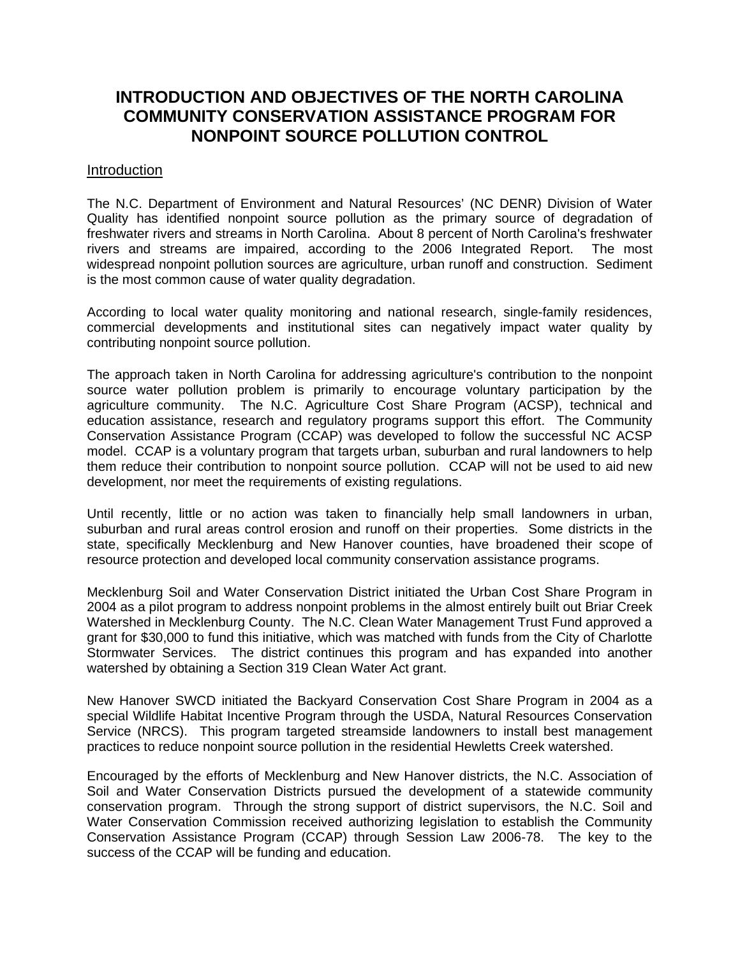## **INTRODUCTION AND OBJECTIVES OF THE NORTH CAROLINA COMMUNITY CONSERVATION ASSISTANCE PROGRAM FOR NONPOINT SOURCE POLLUTION CONTROL**

## Introduction

The N.C. Department of Environment and Natural Resources' (NC DENR) Division of Water Quality has identified nonpoint source pollution as the primary source of degradation of freshwater rivers and streams in North Carolina. About 8 percent of North Carolina's freshwater rivers and streams are impaired, according to the 2006 Integrated Report. The most widespread nonpoint pollution sources are agriculture, urban runoff and construction. Sediment is the most common cause of water quality degradation.

According to local water quality monitoring and national research, single-family residences, commercial developments and institutional sites can negatively impact water quality by contributing nonpoint source pollution.

The approach taken in North Carolina for addressing agriculture's contribution to the nonpoint source water pollution problem is primarily to encourage voluntary participation by the agriculture community. The N.C. Agriculture Cost Share Program (ACSP), technical and education assistance, research and regulatory programs support this effort. The Community Conservation Assistance Program (CCAP) was developed to follow the successful NC ACSP model. CCAP is a voluntary program that targets urban, suburban and rural landowners to help them reduce their contribution to nonpoint source pollution. CCAP will not be used to aid new development, nor meet the requirements of existing regulations.

Until recently, little or no action was taken to financially help small landowners in urban, suburban and rural areas control erosion and runoff on their properties. Some districts in the state, specifically Mecklenburg and New Hanover counties, have broadened their scope of resource protection and developed local community conservation assistance programs.

Mecklenburg Soil and Water Conservation District initiated the Urban Cost Share Program in 2004 as a pilot program to address nonpoint problems in the almost entirely built out Briar Creek Watershed in Mecklenburg County. The N.C. Clean Water Management Trust Fund approved a grant for \$30,000 to fund this initiative, which was matched with funds from the City of Charlotte Stormwater Services. The district continues this program and has expanded into another watershed by obtaining a Section 319 Clean Water Act grant.

New Hanover SWCD initiated the Backyard Conservation Cost Share Program in 2004 as a special Wildlife Habitat Incentive Program through the USDA, Natural Resources Conservation Service (NRCS). This program targeted streamside landowners to install best management practices to reduce nonpoint source pollution in the residential Hewletts Creek watershed.

Encouraged by the efforts of Mecklenburg and New Hanover districts, the N.C. Association of Soil and Water Conservation Districts pursued the development of a statewide community conservation program. Through the strong support of district supervisors, the N.C. Soil and Water Conservation Commission received authorizing legislation to establish the Community Conservation Assistance Program (CCAP) through Session Law 2006-78. The key to the success of the CCAP will be funding and education.